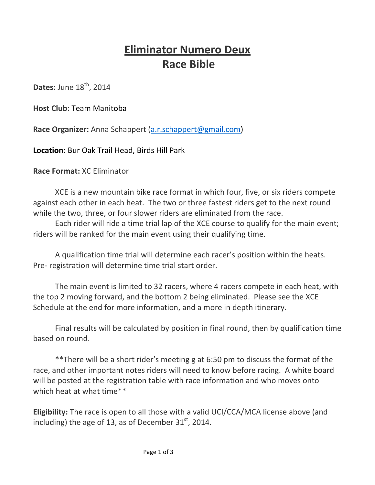# **Eliminator Numero Deux Race Bible**

**Dates: June 18th, 2014** 

**Host Club: Team Manitoba** 

Race Organizer: Anna Schappert (a.r.schappert@gmail.com)

**Location: Bur Oak Trail Head, Birds Hill Park** 

**Race Format: XC Eliminator** 

XCE is a new mountain bike race format in which four, five, or six riders compete against each other in each heat. The two or three fastest riders get to the next round while the two, three, or four slower riders are eliminated from the race.

Each rider will ride a time trial lap of the XCE course to qualify for the main event; riders will be ranked for the main event using their qualifying time.

A qualification time trial will determine each racer's position within the heats. Pre- registration will determine time trial start order.

The main event is limited to 32 racers, where 4 racers compete in each heat, with the top 2 moving forward, and the bottom 2 being eliminated. Please see the XCE Schedule at the end for more information, and a more in depth itinerary.

Final results will be calculated by position in final round, then by qualification time based on round.

\*\*There will be a short rider's meeting g at 6:50 pm to discuss the format of the race, and other important notes riders will need to know before racing. A white board will be posted at the registration table with race information and who moves onto which heat at what time\*\*

Eligibility: The race is open to all those with a valid UCI/CCA/MCA license above (and including) the age of 13, as of December  $31<sup>st</sup>$ , 2014.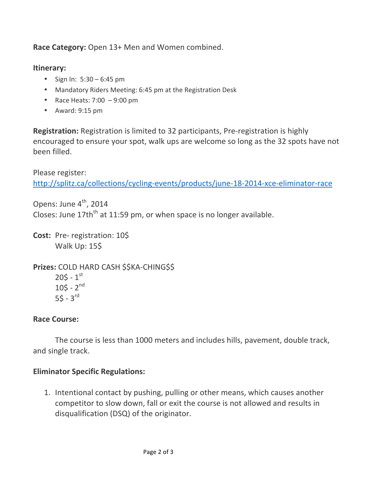Race Category: Open 13+ Men and Women combined.

#### **Itinerary:**

- Sign In:  $5:30 6:45$  pm
- Mandatory Riders Meeting: 6:45 pm at the Registration Desk
- Race Heats:  $7:00 9:00$  pm
- Award:  $9:15 \text{ pm}$

**Registration:** Registration is limited to 32 participants, Pre-registration is highly encouraged to ensure your spot, walk ups are welcome so long as the 32 spots have not been filled.

Please register: http://splitz.ca/collections/cycling-events/products/june-18-2014-xce-eliminator-race

Opens: June 4<sup>th</sup>, 2014

Closes: June  $17th<sup>th</sup>$  at 11:59 pm, or when space is no longer available.

**Cost:** Pre-registration: 10\$ Walk Up: 15\$

**Prizes: COLD HARD CASH \$\$KA-CHING\$\$**  $205 - 1^{st}$  $105 - 2^{nd}$  $55 - 3$ <sup>rd</sup>

### **Race Course:**

The course is less than 1000 meters and includes hills, pavement, double track, and single track.

### **Eliminator Specific Regulations:**

1. Intentional contact by pushing, pulling or other means, which causes another competitor to slow down, fall or exit the course is not allowed and results in disqualification (DSQ) of the originator.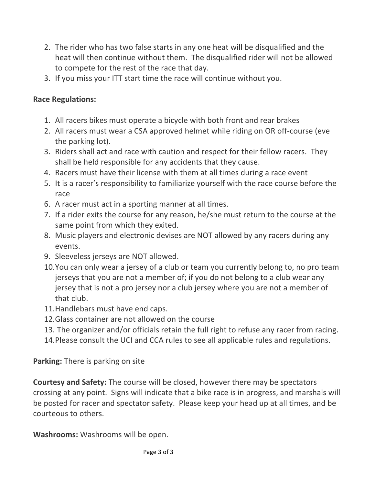- 2. The rider who has two false starts in any one heat will be disqualified and the heat will then continue without them. The disqualified rider will not be allowed to compete for the rest of the race that day.
- 3. If you miss your ITT start time the race will continue without you.

### **Race Regulations:**

- 1. All racers bikes must operate a bicycle with both front and rear brakes
- 2. All racers must wear a CSA approved helmet while riding on OR off-course (eve the parking lot).
- 3. Riders shall act and race with caution and respect for their fellow racers. They shall be held responsible for any accidents that they cause.
- 4. Racers must have their license with them at all times during a race event
- 5. It is a racer's responsibility to familiarize yourself with the race course before the race
- 6. A racer must act in a sporting manner at all times.
- 7. If a rider exits the course for any reason, he/she must return to the course at the same point from which they exited.
- 8. Music players and electronic devises are NOT allowed by any racers during any events.
- 9. Sleeveless jerseys are NOT allowed.
- 10. You can only wear a jersey of a club or team you currently belong to, no pro team jerseys that you are not a member of; if you do not belong to a club wear any jersey that is not a pro jersey nor a club jersey where you are not a member of that club.
- 11.Handlebars must have end caps.
- 12. Glass container are not allowed on the course
- 13. The organizer and/or officials retain the full right to refuse any racer from racing.
- 14. Please consult the UCI and CCA rules to see all applicable rules and regulations.

### **Parking:** There is parking on site

**Courtesy and Safety:** The course will be closed, however there may be spectators crossing at any point. Signs will indicate that a bike race is in progress, and marshals will be posted for racer and spectator safety. Please keep your head up at all times, and be courteous to others.

**Washrooms:** Washrooms will be open.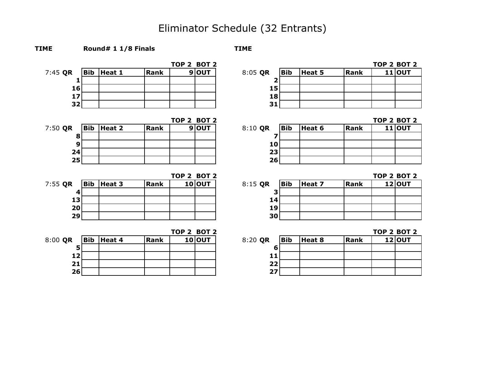## Eliminator Schedule (32 Entrants)

**TOP 2 BOT 2 TOP 2 BOT 2** 7:45 **QR Bib Heat 1 Rank 9 OUT** 8:05 **QR Bib Heat 5 Rank 11 OUT 2 15 18 31**

**TIME Round# 1 1/8 Finals TIME**

|                 |                |      | TOP 2 BOT 2 |       |         |            |        |             | TOP 2 BOT |          |
|-----------------|----------------|------|-------------|-------|---------|------------|--------|-------------|-----------|----------|
| 7:50 QR         | $ Bib $ Heat 2 | Rank |             | 9 OUT | 8:10 QR | <b>Bib</b> | Heat 6 | <b>Rank</b> |           | $11$ OUT |
| 8               |                |      |             |       |         |            |        |             |           |          |
| 9               |                |      |             |       | 10      |            |        |             |           |          |
| 24              |                |      |             |       | 23      |            |        |             |           |          |
| 25 <sub>1</sub> |                |      |             |       | 26      |            |        |             |           |          |

| $7:55$ QR       | $ Bib $ Heat 3 | Rank | 10 OUT | 8:15 QR         | Bib | Heat 7 | Rank | 12 OUT |
|-----------------|----------------|------|--------|-----------------|-----|--------|------|--------|
| 4               |                |      |        |                 |     |        |      |        |
| 13 <sup>1</sup> |                |      |        | 14              |     |        |      |        |
| 20 <sub>l</sub> |                |      |        | 19              |     |        |      |        |
| 29              |                |      |        | 30 <sub>1</sub> |     |        |      |        |

|           |                |      | TOP 2 BOT 2 |        |         |     |        |             | ТОР 2 ВОТ |        |
|-----------|----------------|------|-------------|--------|---------|-----|--------|-------------|-----------|--------|
| $8:00$ QR | $ Bib $ Heat 4 | Rank |             | 10 OUT | 8:20 QR | Bib | Heat 8 | <b>Rank</b> |           | 12 OUT |
|           |                |      |             |        |         |     |        |             |           |        |
| 12        |                |      |             |        | 11      |     |        |             |           |        |
| 21        |                |      |             |        | 22      |     |        |             |           |        |
| 26        |                |      |             |        | 27      |     |        |             |           |        |

|       |     |        |      | <b>TOP 2 BOT 2</b> |
|-------|-----|--------|------|--------------------|
| 05 QR | Bib | Heat 5 | Rank | $11$ OUT           |
|       |     |        |      |                    |
| 15    |     |        |      |                    |
| 18    |     |        |      |                    |
|       |     |        |      |                    |

**TOP 2 BOT 2 TOP 2 BOT 2** 

| $:10$ QR | <b>Bib</b> | Heat 6 | Rank | $11$ OUT |
|----------|------------|--------|------|----------|
|          |            |        |      |          |
| 10       |            |        |      |          |
| 23       |            |        |      |          |
| 26       |            |        |      |          |

**TOP 2 BOT 2 TOP 2 BOT 2**

| :15 QR | <b>Bib</b> | Heat 7 | Rank | 12 OUT |
|--------|------------|--------|------|--------|
| R      |            |        |      |        |
| 14     |            |        |      |        |
| 19     |            |        |      |        |
| 30     |            |        |      |        |

**TOP 2 BOT 2 TOP 2 BOT 2**

| :20 QR | <b>Bib</b> | Heat 8 | Rank | 12 OUT |
|--------|------------|--------|------|--------|
| 6      |            |        |      |        |
|        |            |        |      |        |
| 22.    |            |        |      |        |
|        |            |        |      |        |